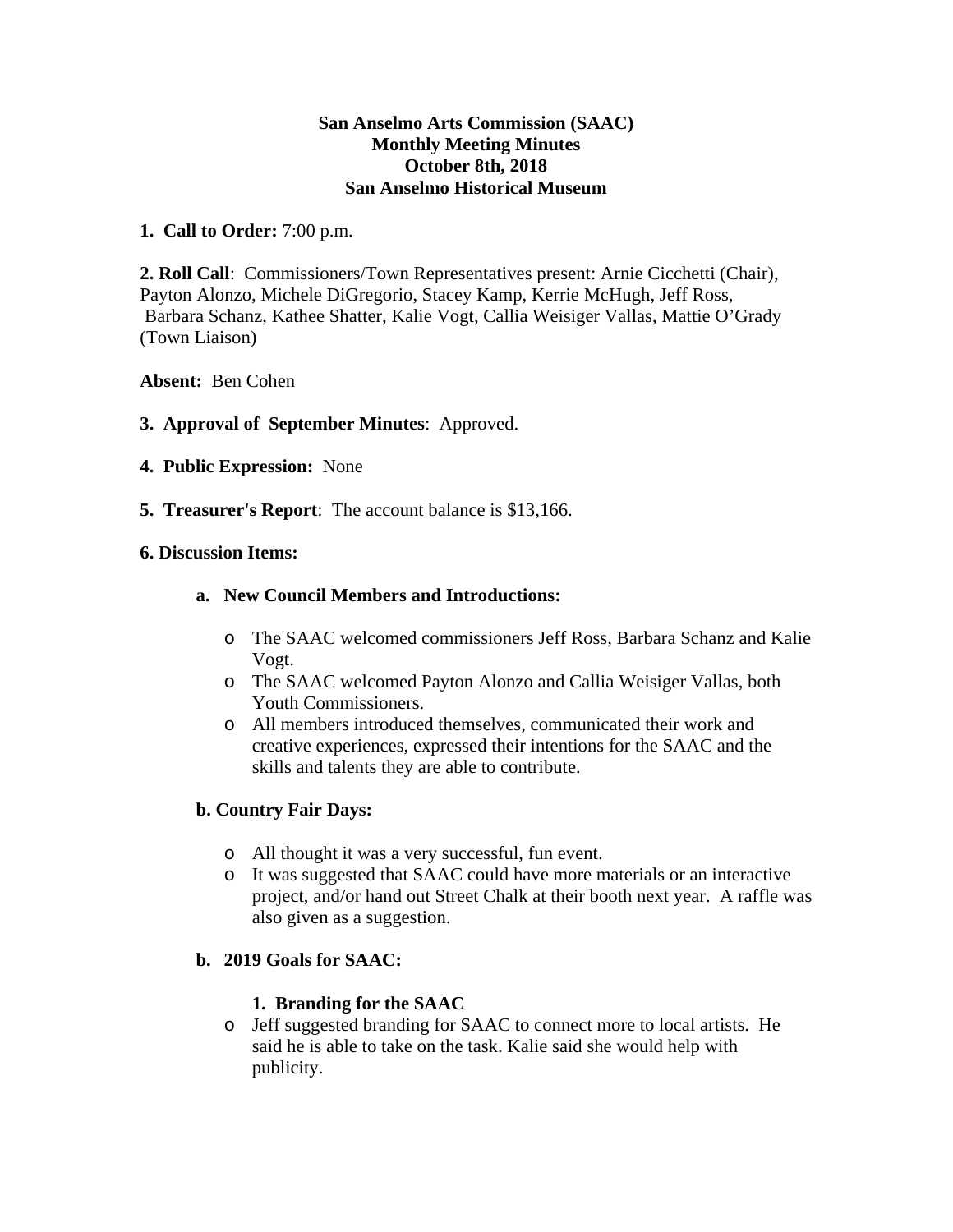#### **San Anselmo Arts Commission (SAAC) Monthly Meeting Minutes October 8th, 2018 San Anselmo Historical Museum**

### **1. Call to Order:** 7:00 p.m.

**2. Roll Call**: Commissioners/Town Representatives present: Arnie Cicchetti (Chair), Payton Alonzo, Michele DiGregorio, Stacey Kamp, Kerrie McHugh, Jeff Ross, Barbara Schanz, Kathee Shatter, Kalie Vogt, Callia Weisiger Vallas, Mattie O'Grady (Town Liaison)

### **Absent:** Ben Cohen

## **3. Approval of September Minutes**: Approved.

- **4. Public Expression:** None
- **5. Treasurer's Report**: The account balance is \$13,166.

#### **6. Discussion Items:**

### **a. New Council Members and Introductions:**

- o The SAAC welcomed commissioners Jeff Ross, Barbara Schanz and Kalie Vogt.
- o The SAAC welcomed Payton Alonzo and Callia Weisiger Vallas, both Youth Commissioners.
- o All members introduced themselves, communicated their work and creative experiences, expressed their intentions for the SAAC and the skills and talents they are able to contribute.

## **b. Country Fair Days:**

- o All thought it was a very successful, fun event.
- o It was suggested that SAAC could have more materials or an interactive project, and/or hand out Street Chalk at their booth next year. A raffle was also given as a suggestion.

## **b. 2019 Goals for SAAC:**

#### **1. Branding for the SAAC**

o Jeff suggested branding for SAAC to connect more to local artists. He said he is able to take on the task. Kalie said she would help with publicity.